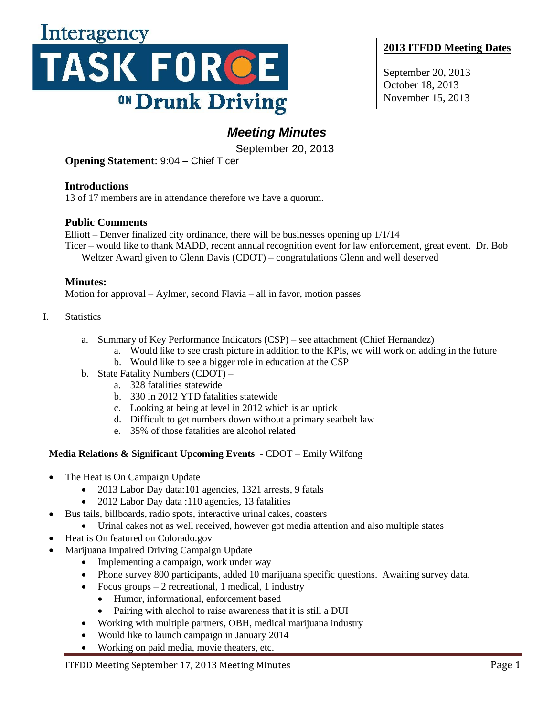

# **2013 ITFDD Meeting Dates**

September 20, 2013 October 18, 2013 November 15, 2013

# *Meeting Minutes*

September 20, 2013

**Opening Statement**: 9:04 – Chief Ticer

**Introductions**

13 of 17 members are in attendance therefore we have a quorum.

# **Public Comments** –

Elliott – Denver finalized city ordinance, there will be businesses opening up 1/1/14 Ticer – would like to thank MADD, recent annual recognition event for law enforcement, great event. Dr. Bob

Weltzer Award given to Glenn Davis (CDOT) – congratulations Glenn and well deserved

# **Minutes:**

Motion for approval – Aylmer, second Flavia – all in favor, motion passes

#### I. Statistics

- a. Summary of Key Performance Indicators (CSP) see attachment (Chief Hernandez)
	- a. Would like to see crash picture in addition to the KPIs, we will work on adding in the future
		- b. Would like to see a bigger role in education at the CSP
- b. State Fatality Numbers (CDOT)
	- a. 328 fatalities statewide
	- b. 330 in 2012 YTD fatalities statewide
	- c. Looking at being at level in 2012 which is an uptick
	- d. Difficult to get numbers down without a primary seatbelt law
	- e. 35% of those fatalities are alcohol related

## **Media Relations & Significant Upcoming Events** - CDOT – Emily Wilfong

- The Heat is On Campaign Update
	- 2013 Labor Day data:101 agencies, 1321 arrests, 9 fatals
	- 2012 Labor Day data :110 agencies, 13 fatalities
- Bus tails, billboards, radio spots, interactive urinal cakes, coasters
	- Urinal cakes not as well received, however got media attention and also multiple states
- Heat is On featured on Colorado.gov
- Marijuana Impaired Driving Campaign Update
	- Implementing a campaign, work under way
	- Phone survey 800 participants, added 10 marijuana specific questions. Awaiting survey data.
	- Focus groups 2 recreational, 1 medical, 1 industry
		- Humor, informational, enforcement based
		- Pairing with alcohol to raise awareness that it is still a DUI
	- Working with multiple partners, OBH, medical marijuana industry
	- Would like to launch campaign in January 2014
	- Working on paid media, movie theaters, etc.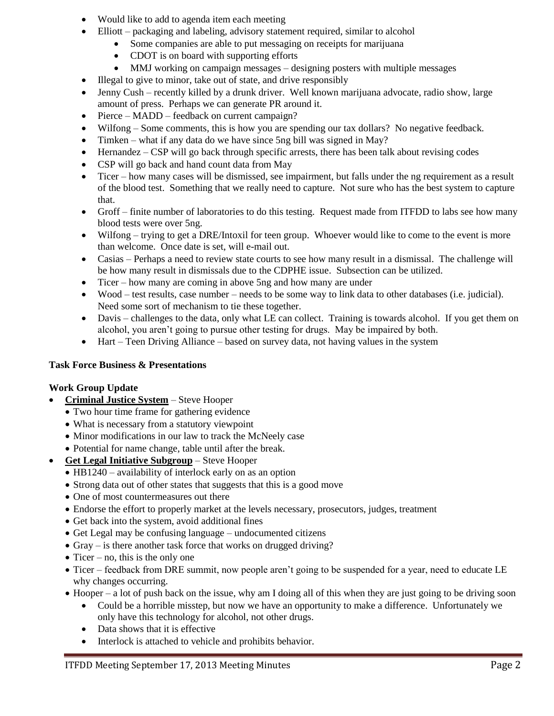- Would like to add to agenda item each meeting
- Elliott packaging and labeling, advisory statement required, similar to alcohol
	- Some companies are able to put messaging on receipts for marijuana
		- CDOT is on board with supporting efforts
		- MMJ working on campaign messages designing posters with multiple messages
- Illegal to give to minor, take out of state, and drive responsibly
- Jenny Cush recently killed by a drunk driver. Well known marijuana advocate, radio show, large amount of press. Perhaps we can generate PR around it.
- Pierce MADD feedback on current campaign?
- Wilfong Some comments, this is how you are spending our tax dollars? No negative feedback.
- Timken what if any data do we have since 5ng bill was signed in May?
- Hernandez CSP will go back through specific arrests, there has been talk about revising codes
- CSP will go back and hand count data from May
- Ticer how many cases will be dismissed, see impairment, but falls under the ng requirement as a result of the blood test. Something that we really need to capture. Not sure who has the best system to capture that.
- Groff finite number of laboratories to do this testing. Request made from ITFDD to labs see how many blood tests were over 5ng.
- Wilfong trying to get a DRE/Intoxil for teen group. Whoever would like to come to the event is more than welcome. Once date is set, will e-mail out.
- Casias Perhaps a need to review state courts to see how many result in a dismissal. The challenge will be how many result in dismissals due to the CDPHE issue. Subsection can be utilized.
- Ticer how many are coming in above 5ng and how many are under
- Wood test results, case number needs to be some way to link data to other databases (i.e. judicial). Need some sort of mechanism to tie these together.
- Davis challenges to the data, only what LE can collect. Training is towards alcohol. If you get them on alcohol, you aren't going to pursue other testing for drugs. May be impaired by both.
- Hart Teen Driving Alliance based on survey data, not having values in the system

## **Task Force Business & Presentations**

## **Work Group Update**

- **Criminal Justice System** Steve Hooper
	- Two hour time frame for gathering evidence
	- What is necessary from a statutory viewpoint
	- Minor modifications in our law to track the McNeely case
	- Potential for name change, table until after the break.
- **Get Legal Initiative Subgroup** Steve Hooper
	- HB1240 availability of interlock early on as an option
	- Strong data out of other states that suggests that this is a good move
	- One of most countermeasures out there
	- Endorse the effort to properly market at the levels necessary, prosecutors, judges, treatment
	- Get back into the system, avoid additional fines
	- Get Legal may be confusing language undocumented citizens
	- Gray is there another task force that works on drugged driving?
	- $\bullet$  Ticer no, this is the only one
	- Ticer feedback from DRE summit, now people aren't going to be suspended for a year, need to educate LE why changes occurring.
	- Hooper a lot of push back on the issue, why am I doing all of this when they are just going to be driving soon
		- Could be a horrible misstep, but now we have an opportunity to make a difference. Unfortunately we only have this technology for alcohol, not other drugs.
		- Data shows that it is effective
		- Interlock is attached to vehicle and prohibits behavior.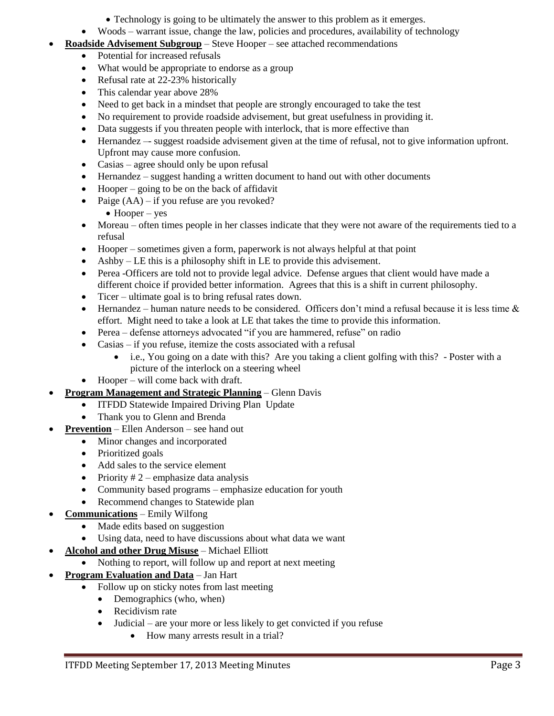- Technology is going to be ultimately the answer to this problem as it emerges.
- Woods warrant issue, change the law, policies and procedures, availability of technology
- **Roadside Advisement Subgroup** Steve Hooper see attached recommendations
	- Potential for increased refusals
	- What would be appropriate to endorse as a group
	- Refusal rate at 22-23% historically
	- This calendar year above 28%
	- Need to get back in a mindset that people are strongly encouraged to take the test
	- No requirement to provide roadside advisement, but great usefulness in providing it.
	- Data suggests if you threaten people with interlock, that is more effective than
	- Hernandez –- suggest roadside advisement given at the time of refusal, not to give information upfront. Upfront may cause more confusion.
	- Casias agree should only be upon refusal
	- Hernandez suggest handing a written document to hand out with other documents
	- $\bullet$  Hooper going to be on the back of affidavit
	- Paige  $(AA)$  if you refuse are you revoked?
		- $\bullet$  Hooper yes
	- Moreau often times people in her classes indicate that they were not aware of the requirements tied to a refusal
	- Hooper sometimes given a form, paperwork is not always helpful at that point
	- Ashby LE this is a philosophy shift in LE to provide this advisement.
	- Perea -Officers are told not to provide legal advice. Defense argues that client would have made a different choice if provided better information. Agrees that this is a shift in current philosophy.
	- Ticer ultimate goal is to bring refusal rates down.
	- Hernandez human nature needs to be considered. Officers don't mind a refusal because it is less time  $\&$ effort. Might need to take a look at LE that takes the time to provide this information.
	- Perea defense attorneys advocated "if you are hammered, refuse" on radio
	- Casias if you refuse, itemize the costs associated with a refusal
		- i.e., You going on a date with this? Are you taking a client golfing with this? Poster with a picture of the interlock on a steering wheel
	- Hooper will come back with draft.
- **Program Management and Strategic Planning** Glenn Davis
	- ITFDD Statewide Impaired Driving Plan Update
	- Thank you to Glenn and Brenda
	- **Prevention** Ellen Anderson see hand out
		- Minor changes and incorporated
		- Prioritized goals
		- Add sales to the service element
		- Priority  $# 2$  emphasize data analysis
		- Community based programs emphasize education for youth
		- Recommend changes to Statewide plan
- **Communications** Emily Wilfong
	- Made edits based on suggestion
	- Using data, need to have discussions about what data we want
- **Alcohol and other Drug Misuse** Michael Elliott
	- Nothing to report, will follow up and report at next meeting
- **Program Evaluation and Data** Jan Hart
	- Follow up on sticky notes from last meeting
		- Demographics (who, when)
		- Recidivism rate
		- Judicial are your more or less likely to get convicted if you refuse
			- How many arrests result in a trial?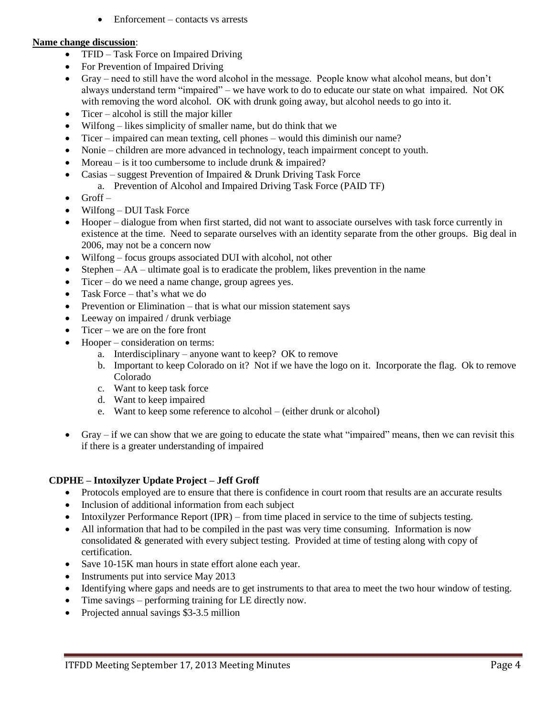Enforcement – contacts vs arrests

#### **Name change discussion**:

- TFID Task Force on Impaired Driving
- For Prevention of Impaired Driving
- Gray need to still have the word alcohol in the message. People know what alcohol means, but don't always understand term "impaired" – we have work to do to educate our state on what impaired. Not OK with removing the word alcohol. OK with drunk going away, but alcohol needs to go into it.
- $\bullet$  Ticer alcohol is still the major killer
- Wilfong likes simplicity of smaller name, but do think that we
- Ticer impaired can mean texting, cell phones would this diminish our name?
- Nonie children are more advanced in technology, teach impairment concept to youth.
- Moreau is it too cumbersome to include drunk & impaired?
	- Casias suggest Prevention of Impaired & Drunk Driving Task Force
		- a. Prevention of Alcohol and Impaired Driving Task Force (PAID TF)
- Groff –
- Wilfong DUI Task Force
- Hooper dialogue from when first started, did not want to associate ourselves with task force currently in existence at the time. Need to separate ourselves with an identity separate from the other groups. Big deal in 2006, may not be a concern now
- Wilfong focus groups associated DUI with alcohol, not other
- Stephen AA ultimate goal is to eradicate the problem, likes prevention in the name
- Ticer do we need a name change, group agrees yes.
- Task Force that's what we do
- Prevention or Elimination  $-$  that is what our mission statement says
- Leeway on impaired / drunk verbiage
- $\bullet$  Ticer we are on the fore front
- Hooper consideration on terms:
	- a. Interdisciplinary anyone want to keep? OK to remove
	- b. Important to keep Colorado on it? Not if we have the logo on it. Incorporate the flag. Ok to remove Colorado
	- c. Want to keep task force
	- d. Want to keep impaired
	- e. Want to keep some reference to alcohol (either drunk or alcohol)
- Gray if we can show that we are going to educate the state what "impaired" means, then we can revisit this if there is a greater understanding of impaired

#### **CDPHE – Intoxilyzer Update Project – Jeff Groff**

- Protocols employed are to ensure that there is confidence in court room that results are an accurate results
- Inclusion of additional information from each subject
- Intoxilyzer Performance Report (IPR) from time placed in service to the time of subjects testing.
- All information that had to be compiled in the past was very time consuming. Information is now consolidated & generated with every subject testing. Provided at time of testing along with copy of certification.
- Save 10-15K man hours in state effort alone each year.
- Instruments put into service May 2013
- Identifying where gaps and needs are to get instruments to that area to meet the two hour window of testing.
- Time savings performing training for LE directly now.
- Projected annual savings \$3-3.5 million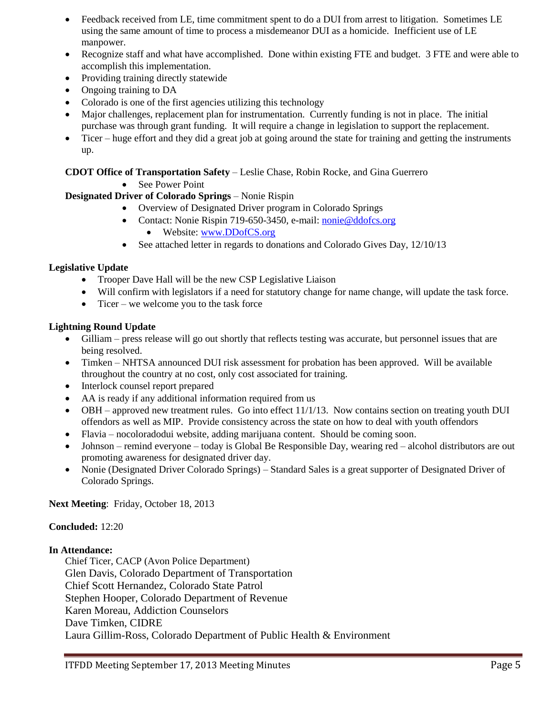- Feedback received from LE, time commitment spent to do a DUI from arrest to litigation. Sometimes LE using the same amount of time to process a misdemeanor DUI as a homicide. Inefficient use of LE manpower.
- Recognize staff and what have accomplished. Done within existing FTE and budget. 3 FTE and were able to accomplish this implementation.
- Providing training directly statewide
- Ongoing training to DA
- Colorado is one of the first agencies utilizing this technology
- Major challenges, replacement plan for instrumentation. Currently funding is not in place. The initial purchase was through grant funding. It will require a change in legislation to support the replacement.
- Ticer huge effort and they did a great job at going around the state for training and getting the instruments up.

**CDOT Office of Transportation Safety** – Leslie Chase, Robin Rocke, and Gina Guerrero

• See Power Point

# **Designated Driver of Colorado Springs** – Nonie Rispin

- Overview of Designated Driver program in Colorado Springs
- Contact: Nonie Rispin 719-650-3450, e-mail: [nonie@ddofcs.org](mailto:nonie@ddofcs.org)
	- Website: [www.DDofCS.org](http://www.ddofcs.org/)
- See attached letter in regards to donations and Colorado Gives Day, 12/10/13

#### **Legislative Update**

- Trooper Dave Hall will be the new CSP Legislative Liaison
- Will confirm with legislators if a need for statutory change for name change, will update the task force.
- $\bullet$  Ticer we welcome you to the task force

#### **Lightning Round Update**

- Gilliam press release will go out shortly that reflects testing was accurate, but personnel issues that are being resolved.
- Timken NHTSA announced DUI risk assessment for probation has been approved. Will be available throughout the country at no cost, only cost associated for training.
- Interlock counsel report prepared
- AA is ready if any additional information required from us
- $\bullet$  OBH approved new treatment rules. Go into effect 11/1/13. Now contains section on treating youth DUI offendors as well as MIP. Provide consistency across the state on how to deal with youth offendors
- Flavia nocoloradodui website, adding marijuana content. Should be coming soon.
- Johnson remind everyone today is Global Be Responsible Day, wearing red alcohol distributors are out promoting awareness for designated driver day.
- Nonie (Designated Driver Colorado Springs) Standard Sales is a great supporter of Designated Driver of Colorado Springs.

**Next Meeting**: Friday, October 18, 2013

#### **Concluded:** 12:20

#### **In Attendance:**

Chief Ticer, CACP (Avon Police Department) Glen Davis, Colorado Department of Transportation Chief Scott Hernandez, Colorado State Patrol Stephen Hooper, Colorado Department of Revenue Karen Moreau, Addiction Counselors Dave Timken, CIDRE Laura Gillim-Ross, Colorado Department of Public Health & Environment